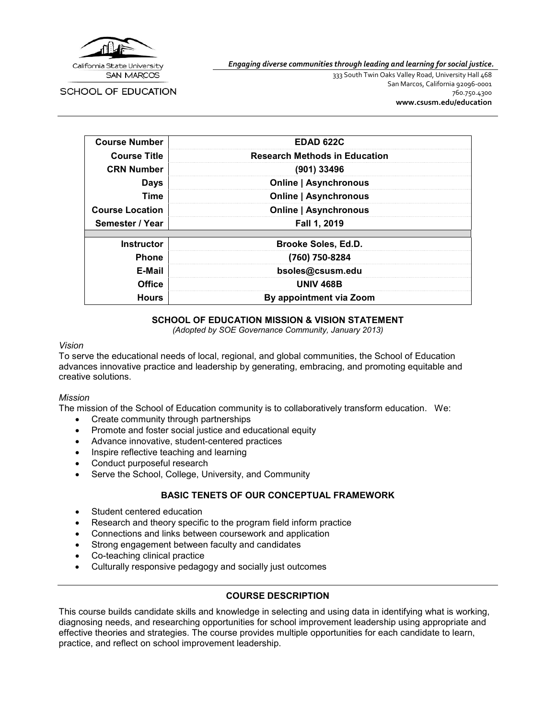

 *Engaging diverse communities through leading and learning for social justice.*

SCHOOL OF EDUCATION

333 South Twin Oaks Valley Road, University Hall 468 San Marcos, California 92096-0001 760.750.4300 **[www.csusm.edu/education](http://www.csusm.edu/education)**

| <b>Course Number</b>   | <b>EDAD 622C</b>                     |  |
|------------------------|--------------------------------------|--|
| <b>Course Title</b>    | <b>Research Methods in Education</b> |  |
| <b>CRN Number</b>      | $(901)$ 33496                        |  |
| <b>Days</b>            | <b>Online   Asynchronous</b>         |  |
| Time                   | <b>Online   Asynchronous</b>         |  |
| <b>Course Location</b> | <b>Online   Asynchronous</b>         |  |
| Semester / Year        | Fall 1, 2019                         |  |
|                        |                                      |  |
| <b>Instructor</b>      | <b>Brooke Soles, Ed.D.</b>           |  |
| <b>Phone</b>           | (760) 750-8284                       |  |
| E-Mail                 | bsoles@csusm.edu                     |  |
| <b>Office</b>          | <b>UNIV 468B</b>                     |  |
| <b>Hours</b>           | By appointment via Zoom              |  |

### **SCHOOL OF EDUCATION MISSION & VISION STATEMENT**

*(Adopted by SOE Governance Community, January 2013)*

#### *Vision*

To serve the educational needs of local, regional, and global communities, the School of Education advances innovative practice and leadership by generating, embracing, and promoting equitable and creative solutions.

#### *Mission*

The mission of the School of Education community is to collaboratively transform education. We:

- Create community through partnerships
- Promote and foster social justice and educational equity
- Advance innovative, student-centered practices
- Inspire reflective teaching and learning
- Conduct purposeful research
- Serve the School, College, University, and Community

### **BASIC TENETS OF OUR CONCEPTUAL FRAMEWORK**

- Student centered education
- Research and theory specific to the program field inform practice
- Connections and links between coursework and application
- Strong engagement between faculty and candidates
- Co-teaching clinical practice
- Culturally responsive pedagogy and socially just outcomes

#### **COURSE DESCRIPTION**

This course builds candidate skills and knowledge in selecting and using data in identifying what is working, diagnosing needs, and researching opportunities for school improvement leadership using appropriate and effective theories and strategies. The course provides multiple opportunities for each candidate to learn, practice, and reflect on school improvement leadership.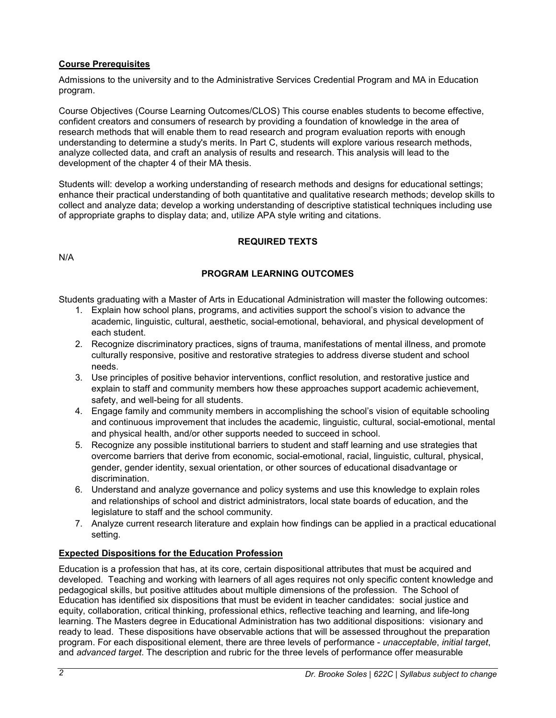## **Course Prerequisites**

Admissions to the university and to the Administrative Services Credential Program and MA in Education program.

Course Objectives (Course Learning Outcomes/CLOS) This course enables students to become effective, confident creators and consumers of research by providing a foundation of knowledge in the area of research methods that will enable them to read research and program evaluation reports with enough understanding to determine a study's merits. In Part C, students will explore various research methods, analyze collected data, and craft an analysis of results and research. This analysis will lead to the development of the chapter 4 of their MA thesis.

Students will: develop a working understanding of research methods and designs for educational settings; enhance their practical understanding of both quantitative and qualitative research methods; develop skills to collect and analyze data; develop a working understanding of descriptive statistical techniques including use of appropriate graphs to display data; and, utilize APA style writing and citations.

# **REQUIRED TEXTS**

N/A

# **PROGRAM LEARNING OUTCOMES**

Students graduating with a Master of Arts in Educational Administration will master the following outcomes:

- 1. Explain how school plans, programs, and activities support the school's vision to advance the academic, linguistic, cultural, aesthetic, social-emotional, behavioral, and physical development of each student.
- 2. Recognize discriminatory practices, signs of trauma, manifestations of mental illness, and promote culturally responsive, positive and restorative strategies to address diverse student and school needs.
- 3. Use principles of positive behavior interventions, conflict resolution, and restorative justice and explain to staff and community members how these approaches support academic achievement, safety, and well-being for all students.
- 4. Engage family and community members in accomplishing the school's vision of equitable schooling and continuous improvement that includes the academic, linguistic, cultural, social-emotional, mental and physical health, and/or other supports needed to succeed in school.
- 5. Recognize any possible institutional barriers to student and staff learning and use strategies that overcome barriers that derive from economic, social-emotional, racial, linguistic, cultural, physical, gender, gender identity, sexual orientation, or other sources of educational disadvantage or discrimination.
- 6. Understand and analyze governance and policy systems and use this knowledge to explain roles and relationships of school and district administrators, local state boards of education, and the legislature to staff and the school community.
- 7. Analyze current research literature and explain how findings can be applied in a practical educational setting.

# **Expected Dispositions for the Education Profession**

Education is a profession that has, at its core, certain dispositional attributes that must be acquired and developed. Teaching and working with learners of all ages requires not only specific content knowledge and pedagogical skills, but positive attitudes about multiple dimensions of the profession. The School of Education has identified six dispositions that must be evident in teacher candidates: social justice and equity, collaboration, critical thinking, professional ethics, reflective teaching and learning, and life-long learning. The Masters degree in Educational Administration has two additional dispositions: visionary and ready to lead. These dispositions have observable actions that will be assessed throughout the preparation program. For each dispositional element, there are three levels of performance - *unacceptable*, *initial target*, and *advanced target*. The description and rubric for the three levels of performance offer measurable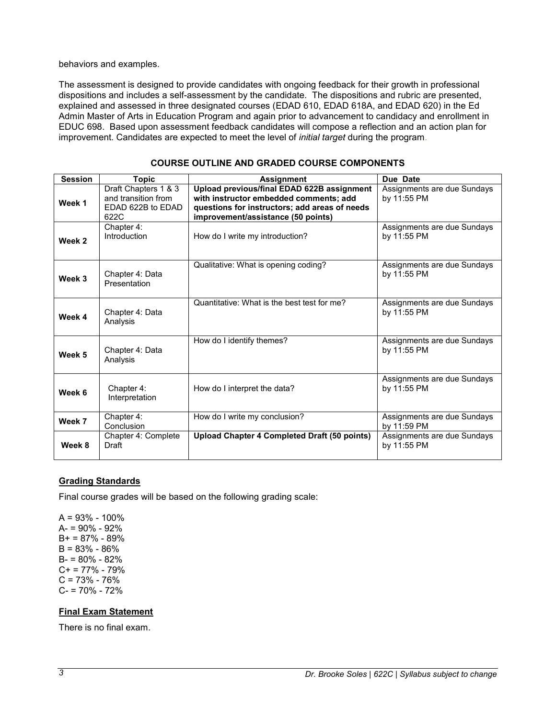behaviors and examples.

The assessment is designed to provide candidates with ongoing feedback for their growth in professional dispositions and includes a self-assessment by the candidate. The dispositions and rubric are presented, explained and assessed in three designated courses (EDAD 610, EDAD 618A, and EDAD 620) in the Ed Admin Master of Arts in Education Program and again prior to advancement to candidacy and enrollment in EDUC 698. Based upon assessment feedback candidates will compose a reflection and an action plan for improvement. Candidates are expected to meet the level of *initial target* during the program.

| <b>Session</b> | <b>Topic</b>                                                             | <b>Assignment</b>                                                                                                                                                           | Due Date                                   |
|----------------|--------------------------------------------------------------------------|-----------------------------------------------------------------------------------------------------------------------------------------------------------------------------|--------------------------------------------|
| Week 1         | Draft Chapters 1 & 3<br>and transition from<br>EDAD 622B to EDAD<br>622C | Upload previous/final EDAD 622B assignment<br>with instructor embedded comments; add<br>questions for instructors; add areas of needs<br>improvement/assistance (50 points) | Assignments are due Sundays<br>by 11:55 PM |
| Week 2         | Chapter 4:<br>Introduction                                               | How do I write my introduction?                                                                                                                                             | Assignments are due Sundays<br>by 11:55 PM |
| Week 3         | Chapter 4: Data<br>Presentation                                          | Qualitative: What is opening coding?                                                                                                                                        | Assignments are due Sundays<br>by 11:55 PM |
| Week 4         | Chapter 4: Data<br>Analysis                                              | Quantitative: What is the best test for me?                                                                                                                                 | Assignments are due Sundays<br>by 11:55 PM |
| Week 5         | Chapter 4: Data<br>Analysis                                              | How do I identify themes?                                                                                                                                                   | Assignments are due Sundays<br>by 11:55 PM |
| Week 6         | Chapter 4:<br>Interpretation                                             | How do I interpret the data?                                                                                                                                                | Assignments are due Sundays<br>by 11:55 PM |
| Week 7         | Chapter 4:<br>Conclusion                                                 | How do I write my conclusion?                                                                                                                                               | Assignments are due Sundays<br>by 11:59 PM |
| Week 8         | Chapter 4: Complete<br>Draft                                             | Upload Chapter 4 Completed Draft (50 points)                                                                                                                                | Assignments are due Sundays<br>by 11:55 PM |

### **COURSE OUTLINE AND GRADED COURSE COMPONENTS**

#### **Grading Standards**

Final course grades will be based on the following grading scale:

 $A = 93\% - 100\%$ A- = 90% - 92% B+ = 87% - 89% B = 83% - 86% B- = 80% - 82% C+ = 77% - 79%  $C = 73% - 76%$  $C = 70\% - 72\%$ 

## **Final Exam Statement**

There is no final exam.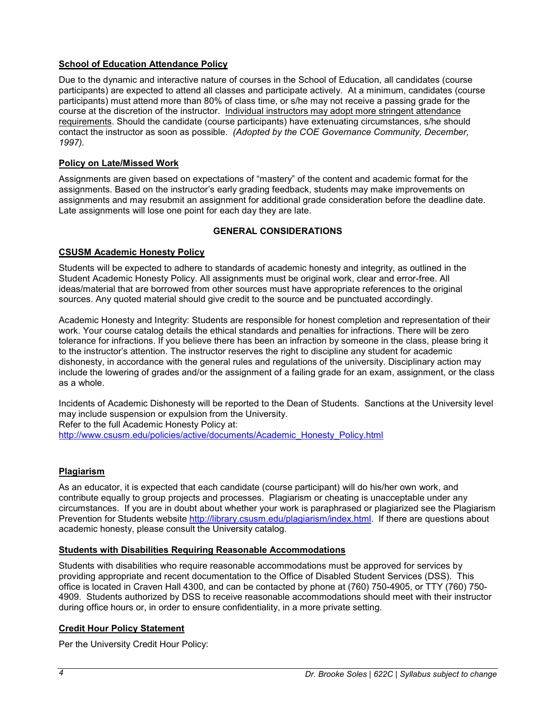## **School of Education Attendance Policy**

Due to the dynamic and interactive nature of courses in the School of Education, all candidates (course participants) are expected to attend all classes and participate actively. At a minimum, candidates (course participants) must attend more than 80% of class time, or s/he may not receive a passing grade for the course at the discretion of the instructor. Individual instructors may adopt more stringent attendance requirements. Should the candidate (course participants) have extenuating circumstances, s/he should contact the instructor as soon as possible. *(Adopted by the COE Governance Community, December, 1997).*

## **Policy on Late/Missed Work**

Assignments are given based on expectations of "mastery" of the content and academic format for the assignments. Based on the instructor's early grading feedback, students may make improvements on assignments and may resubmit an assignment for additional grade consideration before the deadline date. Late assignments will lose one point for each day they are late.

## **GENERAL CONSIDERATIONS**

## **CSUSM Academic Honesty Policy**

Students will be expected to adhere to standards of academic honesty and integrity, as outlined in the Student Academic Honesty Policy. All assignments must be original work, clear and error-free. All ideas/material that are borrowed from other sources must have appropriate references to the original sources. Any quoted material should give credit to the source and be punctuated accordingly.

Academic Honesty and Integrity: Students are responsible for honest completion and representation of their work. Your course catalog details the ethical standards and penalties for infractions. There will be zero tolerance for infractions. If you believe there has been an infraction by someone in the class, please bring it to the instructor's attention. The instructor reserves the right to discipline any student for academic dishonesty, in accordance with the general rules and regulations of the university. Disciplinary action may include the lowering of grades and/or the assignment of a failing grade for an exam, assignment, or the class as a whole.

Incidents of Academic Dishonesty will be reported to the Dean of Students. Sanctions at the University level may include suspension or expulsion from the University.

Refer to the full Academic Honesty Policy at: [http://www.csusm.edu/policies/active/documents/Academic\\_Honesty\\_Policy.html](http://www.csusm.edu/policies/active/documents/Academic_Honesty_Policy.html)

## **Plagiarism**

As an educator, it is expected that each candidate (course participant) will do his/her own work, and contribute equally to group projects and processes. Plagiarism or cheating is unacceptable under any circumstances. If you are in doubt about whether your work is paraphrased or plagiarized see the Plagiarism Prevention for Students website [http://library.csusm.edu/plagiarism/index.html.](http://library.csusm.edu/plagiarism/index.html) If there are questions about academic honesty, please consult the University catalog.

## **Students with Disabilities Requiring Reasonable Accommodations**

Students with disabilities who require reasonable accommodations must be approved for services by providing appropriate and recent documentation to the Office of Disabled Student Services (DSS). This office is located in Craven Hall 4300, and can be contacted by phone at (760) 750-4905, or TTY (760) 750- 4909. Students authorized by DSS to receive reasonable accommodations should meet with their instructor during office hours or, in order to ensure confidentiality, in a more private setting.

## **Credit Hour Policy Statement**

Per the University Credit Hour Policy: